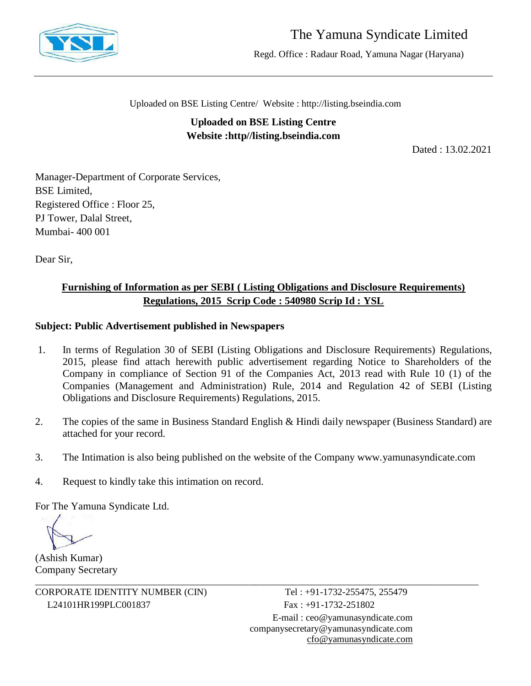

# The Yamuna Syndicate Limited

Regd. Office : Radaur Road, Yamuna Nagar (Haryana)

Uploaded on BSE Listing Centre/ Website : http://listing.bseindia.com

**Uploaded on BSE Listing Centre Website :http//listing.bseindia.com**

Dated : 13.02.2021

Manager-Department of Corporate Services, BSE Limited, Registered Office : Floor 25, PJ Tower, Dalal Street, Mumbai- 400 001

Dear Sir,

## **Furnishing of Information as per SEBI ( Listing Obligations and Disclosure Requirements) Regulations, 2015 Scrip Code : 540980 Scrip Id : YSL**

## **Subject: Public Advertisement published in Newspapers**

- 1. In terms of Regulation 30 of SEBI (Listing Obligations and Disclosure Requirements) Regulations, 2015, please find attach herewith public advertisement regarding Notice to Shareholders of the Company in compliance of Section 91 of the Companies Act, 2013 read with Rule 10 (1) of the Companies (Management and Administration) Rule, 2014 and Regulation 42 of SEBI (Listing Obligations and Disclosure Requirements) Regulations, 2015.
- 2. The copies of the same in Business Standard English & Hindi daily newspaper (Business Standard) are attached for your record.
- 3. The Intimation is also being published on the website of the Company www.yamunasyndicate.com

\_\_\_\_\_\_\_\_\_\_\_\_\_\_\_\_\_\_\_\_\_\_\_\_\_\_\_\_\_\_\_\_\_\_\_\_\_\_\_\_\_\_\_\_\_\_\_\_\_\_\_\_\_\_\_\_\_\_\_\_\_\_\_\_\_\_\_\_\_\_\_\_\_\_\_\_\_\_\_\_\_\_\_\_\_\_\_\_\_\_\_\_\_

4. Request to kindly take this intimation on record.

For The Yamuna Syndicate Ltd.

(Ashish Kumar) Company Secretary

CORPORATE IDENTITY NUMBER (CIN) Tel : +91-1732-255475, 255479 L24101HR199PLC001837 Fax: +91-1732-251802

E-mail : [ceo@yamunasyndicate.com](mailto:ceo@yamunasyndicate.com) [companysecretary@yamunasyndicate.com](mailto:companysecretary@yamunasyndicate.com) [cfo@yamunasyndicate.com](mailto:cfo@yamunasyndicate.com)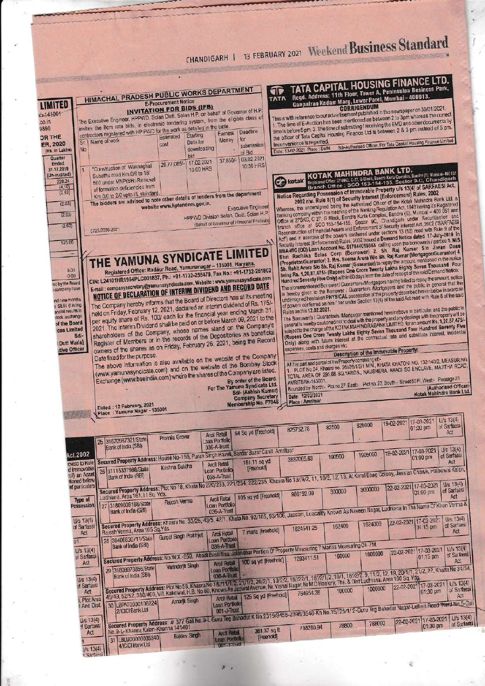#### CHANDIGARH 1 13 FEBRUARY 2021 Weekend Business Standard <u> 1979 - Johann Barn, martin a</u> TATA CAPITAL HOUSING FINANCE LTD. Regd. Address: 11th Floor, Tower A, Peninsulaa Business Park, Ganpatrao Kadam Marg, Lower Parel, Mumbai – 400013. **HIMACHAL PRADESH PUBLIC WORKS DEPARTMENT** ሞ TATA **E-Procurement Notice** LIMITED **INVITATION FOR BIDS (IFB) CURRICENDUM**<br>1. This is with reference to our advertisement published in this newspaper on 30/01/2021.<br>1. The time of E-Auction has been mentioned as between 2 to 3pm whereas the correct<br>time is before 5pm. 2. The time of The Executive Engineer, HPPWD, Solan Disti. Solan H.P. on behalf of Governor of H.P. ib=141001 invites the item rate bids, in electronic tendering system, from the eligible class of .co.in contractors registered with HP PWD for the work as detailed in the table. the officiar of Tata Capital Housing Finance Ltd is between 2 & 3 pm instead of 5 pm. 9890 Deadline Earnest **OR THE** Sd/-Authorised Officer, For Tata Capital Housing Finance Limited Name of work Money for  $S<sub>f</sub>$ Inconvenience is regretted. Date for ER, 2020 cost submission Date: 13-02-2021 Place : Delhi downloading (Rs. in Lakhs) No of Bid bid 37,850/- 03.02.2021 Quarter 17.02.2021 29,77,085/-Ended 10:30 HRS "Construction of Waknaghat KOTAK MAHINDRA BANK LTD. 31.12.2019 10.00 HRS П Subathu road Km.0/0 to 18/ ai-400.051 (Un-audited) TIPIN 1988-1980; C-27, G-Block, Bandra Kurla Complex, Bandra (E), Mumbal-400 051<br>Idea Office: 27-BKC, C-27, G-Block, Bandra 155, Sector 9-C, Chandigarh 500 under MNP(SH:-Removal **Ca** kotak 228.24 Notice Regarding Possession of Immovable Property uls 13(4) of SARFAESI Act,<br>2002 r/w. Rule 8(1) of Security Interest (Enforcement) Rules, 2002<br>2002 r/w. Rule 8(1) of Security Interest (Enforcement) Rules, 2002<br>banking com Notice Regarding Possession of Immovable Property uls 13(4) of SARFAESI Act, of formation deficiencies from  $\frac{(4.10)}{(2.63)}$ The bidders are advised to note other details of tenders from the department  $(2.63)$ website www.hptenders.gov.in. **Executive Engineer** HPPWD Division Solan, Distt. Solan H.P.  $(2.63)$ (Behalf of Governor of Himachal Pradesh)  $(2.63)$ 5725/2020-2021 525.00 THE YAMUNA SYNDICATE LIMITED Registered Office: Radaur Road, Yamunanagar - 135001, Haryana CIN: L24101HR1954PLC001837, Ph.: +91-1732-255479, Fax No.: +91-1732-251802  $0.00$ Hundred Seventy Five Unity within to days from the date of receipt of the said Definant Notice.<br>The aforementioned Borrower / Guarantors Mortgagors having failed to repay the amount, notice<br>is hereby given to the Borrower E-mail: companysecretary@yamunasyndicate.com, Website: www.yamunasyndicate.com  $0.00$ ed by the Board **NOTICE OF DECLARATION OF INTERIM DIVIDEND AND RECORD DATE** company have The Company hereby informs that the Board of Directors has at its meeting nd nine months held on Friday, February 12, 2021, declared an Interim dividend of Rs. 175/-SFBI (Listing The Borrower/s / Guarantor/s Mortgagor mentioned hereinabove in particular and the public in per equity share of Rs. 100/ each for the financial year ending March 31 ancial results is The portowers / Guarantons intorgagor mentioned receivables in particular and the public in<br>general is hereby cautioned not to deal with the property and any dealings with the property will be<br>subject to the charge of the 2021. The Interim Dividend shall be paid on or before March 09, 2021 to the sock exchange shareholders of the Company, whose names stand on the Company's of the Board Rupest World Charge of Twenty Lakhs Eighty Seven Thousand Four Hundred Seventy Five ices Limited Register of Members or in the records of the Depositories as beneficial Unique of the line of the contractual rate and substitute interest, incidental Sdiowners of the shares as on Friday, February 26, 2021, being the Record **Dutt Maria)** expenses, costs and charges etc. Description of the Immovable Property: **itive Officer** All that part and parcel of the Property consisting of -<br>1. PLOT No.24, Khasra no. 26//26/1/2/1 MIN., KHATA KHATONI NO. 132/140/2, MEASURING<br>TOTAL AREA OF 291.66 SQ.YARDS., NAUSHERA, ABADI SG ENCLAVE, MAJITHA ROAD, The above information is also available on the website of the Company Date fixed for the purpose. (www.yamunasyndicate.com) and on the website of the Bombay Stock Exchange (www.bseindia.com) where the shares of the Company are listed. Bounded by North - Plotno.27, East - Plotno.23, South - Street 60 Ft, West - Passage 25 By order of the Board. (Authorised Officer)<br>Kotak Mahindra Bank Ltd. For The Yamuna Syndicate Ltd.<br>Sd/- (Ashish Kumar) Date: 12/02/2021 Company Secretary<br>Membership No. F7846 **Place : Amritsar** Dated : 12 February, 2021<br>Place : Yamuna Nagar - 135001  $U/s$  13(4) 17-03-2021 19-02-2021 825000 82500 of Sarfaes 825752.78 01:00 pm 64 Sq yd [Freehold] Act Arcil Retail Promila Grover 25 31670987321/State oan Portfolio **Bank of India (SBI)** Secured Property Address: House No-156, Puran Singh Haveli, Sardar Bazar Cantt. Amritsar 19-02-2021 17-03-2021 U/s 13(4) Act, 2002 1905000 of Sarfaes 190500 3837065.63  $01:00$  pm raviso to Rule Secured Property Address: Plot No 18, Khata No 220/233, 221/234, 222/235, Khasra No 13//9/2, 11, 18/2, 12, 13, At Karol Bhag Colony, Jassian Chowk, Haibowal Kalan, Act **Arcil Retail** 26 31116337988/State rcil) an Asse tioned belov ef particulars Type of<br>Possession Secured Property Address: Khasra No. 33/25, 43/5, 42/1, Khata No. 92/105, 93/106, Jassian, Loacality Known As Naveen Nagar, Ludhiana In The Name Of Kiran Verma & 27 31809039188/State U/s 13(4)<br>of Sarfaes Act 28 30406830711/State Gurpal Singh Prabhjot Loan Portfolio Secured Property Address: No.W.X -259, Abadi Basti Nau, Jalandhar Portion Of Property Measuring 7 Marias Measuring Ok-7M.  $\overline{M}$  $U/s 13(4)$  $U/s$  13(4) 22-02-2021 17-03-2021 1600000 of Sarfaesi of Sarfaes 01:15 pm Arcii Retail | 100 sq yd [Freehold] Act Act Secured Property Address: Plot No 58, Khasra No 18/11/1/2, 21/1/2, 20/2/1, 10/2/2, 15//22/1, 18//2/1/2, 10/1, 18//2/2, 9, 11/2, 12, 19, 20/1/1, 21/2, 22, Khatta No 34/34, 49/49, 52/52, 380/400, Vill. Kakowal, H.B. No 80, K Varinderjit Singh  $U/s$  13(4) of Sarfaes Act 3, Plot Area<br>1 And Dist Secured Property Address: # 377 Gali No.9-L Guru Teg Bahadut K No.2319/3458-2398/3546-Kh No.15//25/1/ 2-Guru Teg Bahadur Nagar-Lelheri Road-Ward No.5-Gali<br>No.9-L-Khanna Kalan-Khanna 141401 Amarjit Singh Ws 13(4) Sarfaes Act

[Freehold]

á,

**Baldev Singh** 

31 LBLUD0000035340 4/ICICI Bank Ltd

 $\frac{1}{5}$  13(4)